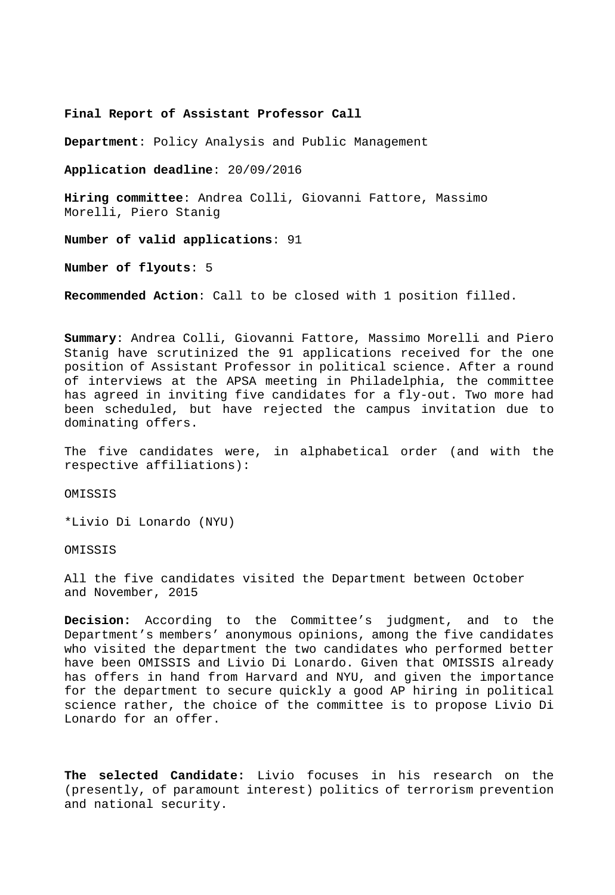**Final Report of Assistant Professor Call** 

**Department**: Policy Analysis and Public Management

**Application deadline**: 20/09/2016

**Hiring committee**: Andrea Colli, Giovanni Fattore, Massimo Morelli, Piero Stanig

**Number of valid applications**: 91

**Number of flyouts**: 5

**Recommended Action**: Call to be closed with 1 position filled.

**Summary**: Andrea Colli, Giovanni Fattore, Massimo Morelli and Piero Stanig have scrutinized the 91 applications received for the one position of Assistant Professor in political science. After a round of interviews at the APSA meeting in Philadelphia, the committee has agreed in inviting five candidates for a fly-out. Two more had been scheduled, but have rejected the campus invitation due to dominating offers.

The five candidates were, in alphabetical order (and with the respective affiliations):

OMISSIS

\*Livio Di Lonardo (NYU)

OMISSIS

All the five candidates visited the Department between October and November, 2015

**Decision:** According to the Committee's judgment, and to the Department's members' anonymous opinions, among the five candidates who visited the department the two candidates who performed better have been OMISSIS and Livio Di Lonardo. Given that OMISSIS already has offers in hand from Harvard and NYU, and given the importance for the department to secure quickly a good AP hiring in political science rather, the choice of the committee is to propose Livio Di Lonardo for an offer.

**The selected Candidate:** Livio focuses in his research on the (presently, of paramount interest) politics of terrorism prevention and national security.